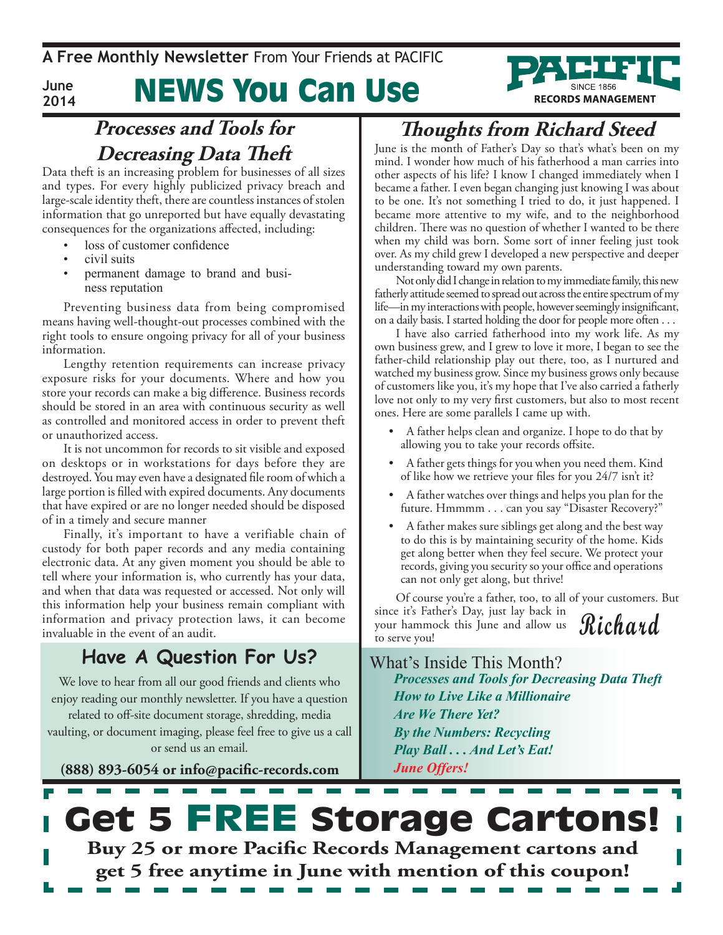## News You Can Use



Data theft is an increasing problem for businesses of all sizes and types. For every highly publicized privacy breach and large-scale identity theft, there are countless instances of stolen information that go unreported but have equally devastating consequences for the organizations affected, including:

- loss of customer confidence
- civil suits

**June 2014**

> permanent damage to brand and business reputation

Preventing business data from being compromised means having well-thought-out processes combined with the right tools to ensure ongoing privacy for all of your business information.

Lengthy retention requirements can increase privacy exposure risks for your documents. Where and how you store your records can make a big difference. Business records should be stored in an area with continuous security as well as controlled and monitored access in order to prevent theft or unauthorized access.

It is not uncommon for records to sit visible and exposed on desktops or in workstations for days before they are destroyed. You may even have a designated file room of which a large portion is filled with expired documents. Any documents that have expired or are no longer needed should be disposed of in a timely and secure manner

Finally, it's important to have a verifiable chain of custody for both paper records and any media containing electronic data. At any given moment you should be able to tell where your information is, who currently has your data, and when that data was requested or accessed. Not only will this information help your business remain compliant with information and privacy protection laws, it can become invaluable in the event of an audit.

### **Have A Question For Us?**

We love to hear from all our good friends and clients who enjoy reading our monthly newsletter. If you have a question related to off-site document storage, shredding, media vaulting, or document imaging, please feel free to give us a call or send us an email.

**(888) 893-6054 or info@pacific-records.com**

## **Thoughts from Richard Steed**

**RECORDS MANAGEMENT** 

June is the month of Father's Day so that's what's been on my mind. I wonder how much of his fatherhood a man carries into other aspects of his life? I know I changed immediately when I became a father. I even began changing just knowing I was about to be one. It's not something I tried to do, it just happened. I became more attentive to my wife, and to the neighborhood children. There was no question of whether I wanted to be there when my child was born. Some sort of inner feeling just took over. As my child grew I developed a new perspective and deeper understanding toward my own parents.

Not only did I change in relation to my immediate family, this new fatherly attitude seemed to spread out across the entire spectrum of my life—in my interactions with people, however seemingly insignificant, on a daily basis. I started holding the door for people more often . . .

I have also carried fatherhood into my work life. As my own business grew, and I grew to love it more, I began to see the father-child relationship play out there, too, as I nurtured and watched my business grow. Since my business grows only because of customers like you, it's my hope that I've also carried a fatherly love not only to my very first customers, but also to most recent ones. Here are some parallels I came up with.

- A father helps clean and organize. I hope to do that by allowing you to take your records offsite.
- A father gets things for you when you need them. Kind of like how we retrieve your files for you 24/7 isn't it?
- A father watches over things and helps you plan for the future. Hmmmm . . . can you say "Disaster Recovery?"
- A father makes sure siblings get along and the best way to do this is by maintaining security of the home. Kids get along better when they feel secure. We protect your records, giving you security so your office and operations can not only get along, but thrive!

**Richard** Of course you're a father, too, to all of your customers. But since it's Father's Day, just lay back in your hammock this June and allow us to serve you!

What's Inside This Month? *Processes and Tools for Decreasing Data Theft How to Live Like a Millionaire Are We There Yet? By the Numbers: Recycling Play Ball . . . And Let's Eat! June Offers!*

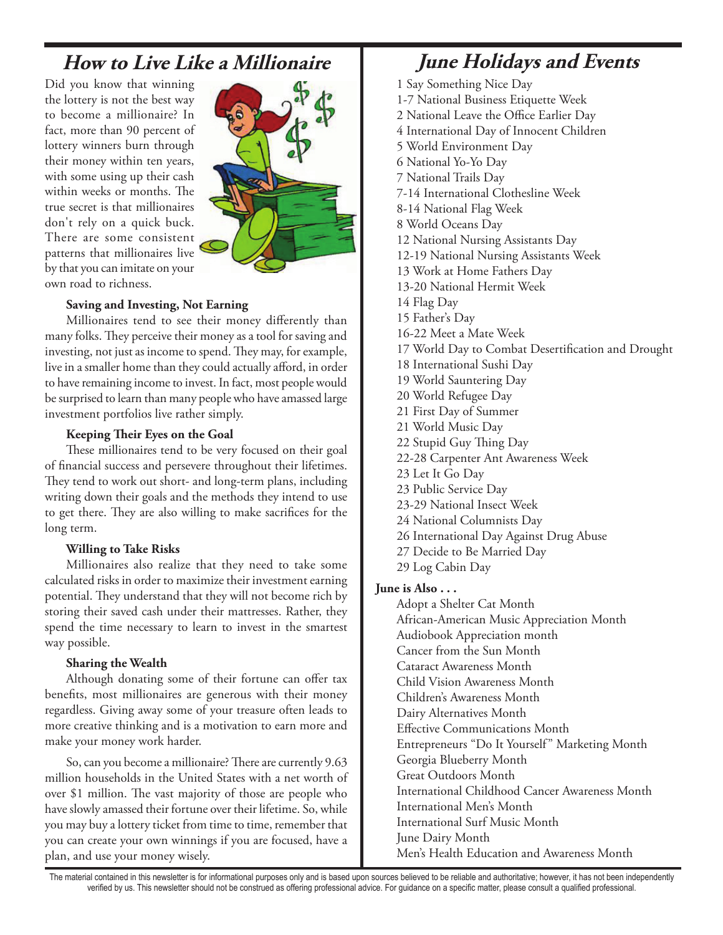### **How to Live Like a Millionaire June Holidays and Events**

Did you know that winning the lottery is not the best way to become a millionaire? In fact, more than 90 percent of lottery winners burn through their money within ten years, with some using up their cash within weeks or months. The true secret is that millionaires don't rely on a quick buck. There are some consistent patterns that millionaires live by that you can imitate on your own road to richness.



#### **Saving and Investing, Not Earning**

Millionaires tend to see their money differently than many folks. They perceive their money as a tool for saving and investing, not just as income to spend. They may, for example, live in a smaller home than they could actually afford, in order to have remaining income to invest. In fact, most people would be surprised to learn than many people who have amassed large investment portfolios live rather simply.

#### **Keeping Their Eyes on the Goal**

These millionaires tend to be very focused on their goal of financial success and persevere throughout their lifetimes. They tend to work out short- and long-term plans, including writing down their goals and the methods they intend to use to get there. They are also willing to make sacrifices for the long term.

#### **Willing to Take Risks**

Millionaires also realize that they need to take some calculated risks in order to maximize their investment earning potential. They understand that they will not become rich by storing their saved cash under their mattresses. Rather, they spend the time necessary to learn to invest in the smartest way possible.

### **Sharing the Wealth**

Although donating some of their fortune can offer tax benefits, most millionaires are generous with their money regardless. Giving away some of your treasure often leads to more creative thinking and is a motivation to earn more and make your money work harder.

So, can you become a millionaire? There are currently 9.63 million households in the United States with a net worth of over \$1 million. The vast majority of those are people who have slowly amassed their fortune over their lifetime. So, while you may buy a lottery ticket from time to time, remember that you can create your own winnings if you are focused, have a plan, and use your money wisely.

- 1 Say Something Nice Day
- 1-7 National Business Etiquette Week
- 2 National Leave the Office Earlier Day
- 4 International Day of Innocent Children
- 5 World Environment Day
- 6 National Yo-Yo Day
- 7 National Trails Day
- 7-14 International Clothesline Week
- 8-14 National Flag Week
- 8 World Oceans Day
- 12 National Nursing Assistants Day
- 12-19 National Nursing Assistants Week
- 13 Work at Home Fathers Day
- 13-20 National Hermit Week
- 14 Flag Day
- 15 Father's Day
- 16-22 Meet a Mate Week
- 17 World Day to Combat Desertification and Drought
- 18 International Sushi Day
- 19 World Sauntering Day
- 20 World Refugee Day
- 21 First Day of Summer
- 21 World Music Day
- 22 Stupid Guy Thing Day
- 22-28 Carpenter Ant Awareness Week
- 23 Let It Go Day
- 23 Public Service Day
- 23-29 National Insect Week
- 24 National Columnists Day
- 26 International Day Against Drug Abuse
- 27 Decide to Be Married Day
- 29 Log Cabin Day

### **June is Also . . .**

Adopt a Shelter Cat Month African-American Music Appreciation Month Audiobook Appreciation month Cancer from the Sun Month Cataract Awareness Month Child Vision Awareness Month Children's Awareness Month Dairy Alternatives Month Effective Communications Month Entrepreneurs "Do It Yourself" Marketing Month Georgia Blueberry Month Great Outdoors Month International Childhood Cancer Awareness Month International Men's Month International Surf Music Month June Dairy Month Men's Health Education and Awareness Month

The material contained in this newsletter is for informational purposes only and is based upon sources believed to be reliable and authoritative; however, it has not been independently verified by us. This newsletter should not be construed as offering professional advice. For guidance on a specific matter, please consult a qualified professional.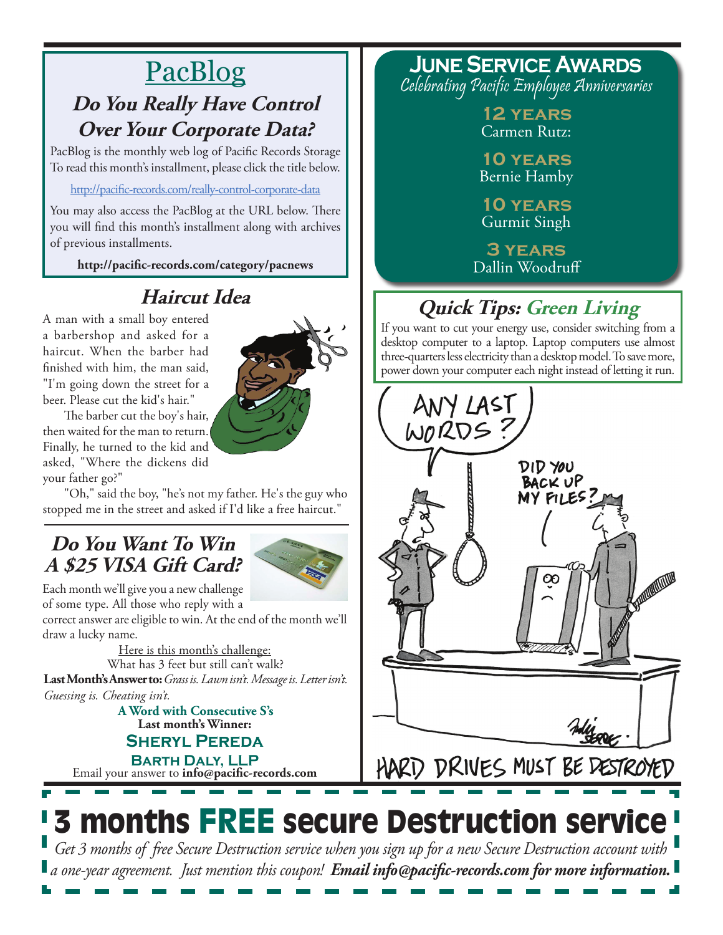## PacBlog **Do You Really Have Control Over Your Corporate Data?**

PacBlog is the monthly web log of Pacific Records Storage To read this month's installment, please click the title below.

<http://pacific-records.com/really-control-corporate-data>

You may also access the PacBlog at the URL below. There you will find this month's installment along with archives of previous installments.

**http://pacific-records.com/category/pacnews**

## **Haircut Idea**

A man with a small boy entered a barbershop and asked for a haircut. When the barber had finished with him, the man said, "I'm going down the street for a beer. Please cut the kid's hair."



The barber cut the boy's hair, then waited for the man to return. Finally, he turned to the kid and asked, "Where the dickens did your father go?"

"Oh," said the boy, "he's not my father. He's the guy who stopped me in the street and asked if I'd like a free haircut."

## **Do You Want To Win A \$25 VISA Gift Card?**



Each month we'll give you a new challenge of some type. All those who reply with a

correct answer are eligible to win. At the end of the month we'll draw a lucky name.

Here is this month's challenge: What has 3 feet but still can't walk? **Last Month's Answer to:** *Grass is. Lawn isn't. Message is. Letter isn't. Guessing is. Cheating isn't.*

**Last month's Winner: Sheryl Pereda A Word with Consecutive S's**

Email your answer to **info@pacific-records.com Barth Daly, LLP**

### **June Service Awards** Celebrating Pacific Employee Anniversaries

**12 years** Carmen Rutz:

**10 years** Bernie Hamby

**10 years** Gurmit Singh

**3 years** Dallin Woodruff

## **Quick Tips: Green Living**

If you want to cut your energy use, consider switching from a desktop computer to a laptop. Laptop computers use almost three-quarters less electricity than a desktop model. To save more, power down your computer each night instead of letting it run.



HARD DRIVES MUST BE DESTROYED

# 3 months FREE secure Destruction service

*Get 3 months of free Secure Destruction service when you sign up for a new Secure Destruction account with a one-year agreement. Just mention this coupon! Email info@pacific-records.com for more information.*